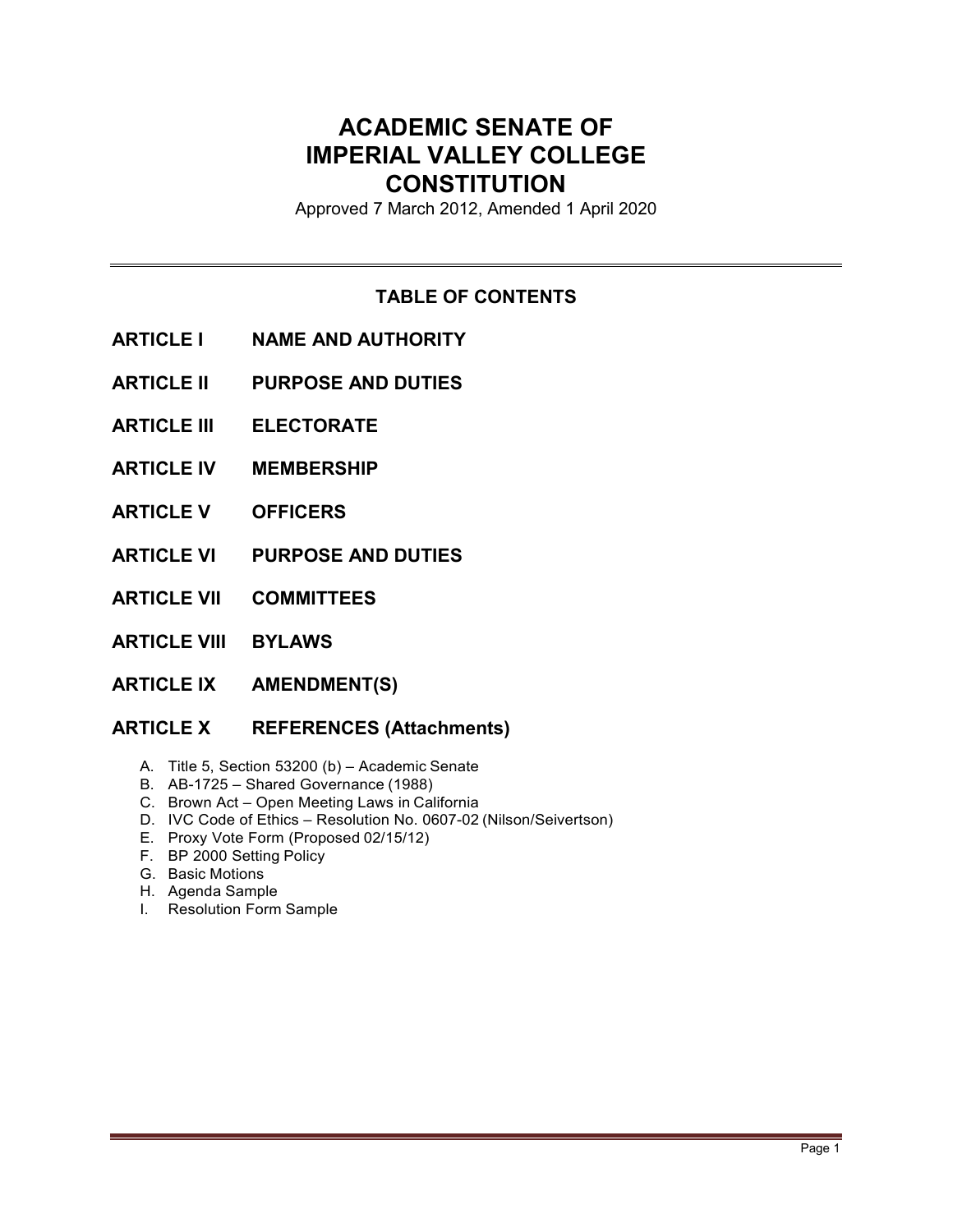# **ACADEMIC SENATE OF IMPERIAL VALLEY COLLEGE CONSTITUTION**

Approved 7 March 2012, Amended 1 April 2020

# **TABLE OF CONTENTS**

- **ARTICLE I NAME AND AUTHORITY**
- **ARTICLE II PURPOSE AND DUTIES**
- **ARTICLE III ELECTORATE**
- **ARTICLE IV MEMBERSHIP**
- **ARTICLE V OFFICERS**
- **ARTICLE VI PURPOSE AND DUTIES**
- **ARTICLE VII COMMITTEES**
- **ARTICLE VIII BYLAWS**
- **ARTICLE IX AMENDMENT(S)**

# **ARTICLE X REFERENCES (Attachments)**

- A. Title 5, Section 53200 (b) Academic Senate
- B. AB-1725 Shared Governance (1988)
- C. Brown Act Open Meeting Laws in California
- D. IVC Code of Ethics Resolution No. 0607-02 (Nilson/Seivertson)
- E. Proxy Vote Form (Proposed 02/15/12)
- F. BP 2000 Setting Policy
- G. Basic Motions
- H. Agenda Sample
- I. Resolution Form Sample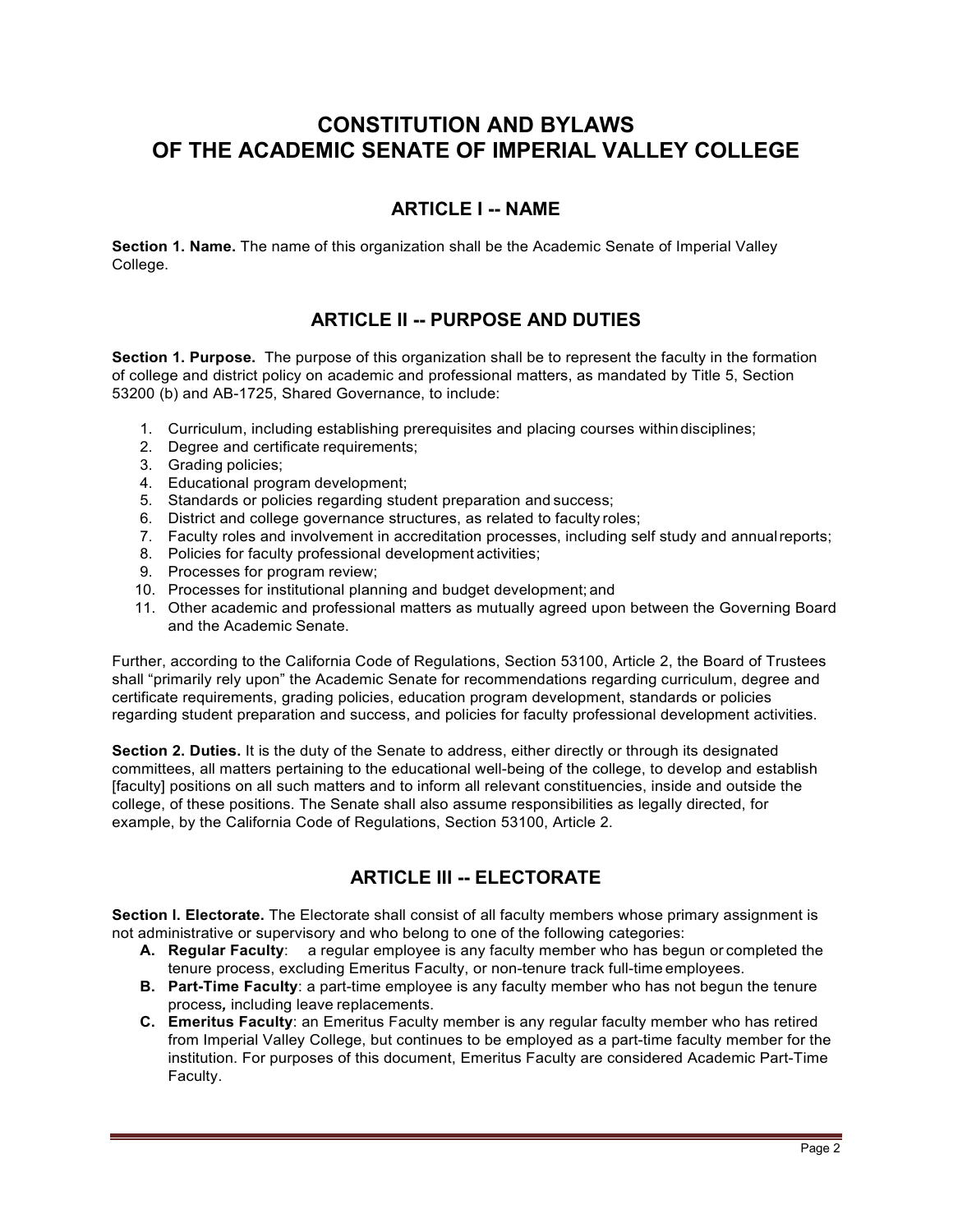# **CONSTITUTION AND BYLAWS OF THE ACADEMIC SENATE OF IMPERIAL VALLEY COLLEGE**

# **ARTICLE I -- NAME**

**Section 1. Name.** The name of this organization shall be the Academic Senate of Imperial Valley College.

# **ARTICLE II -- PURPOSE AND DUTIES**

**Section 1. Purpose.** The purpose of this organization shall be to represent the faculty in the formation of college and district policy on academic and professional matters, as mandated by Title 5, Section 53200 (b) and AB-1725, Shared Governance, to include:

- 1. Curriculum, including establishing prerequisites and placing courses withindisciplines;
- 2. Degree and certificate requirements;
- 3. Grading policies;
- 4. Educational program development;
- 5. Standards or policies regarding student preparation and success;
- 6. District and college governance structures, as related to faculty roles;
- 7. Faculty roles and involvement in accreditation processes, including self study and annualreports;
- 8. Policies for faculty professional development activities;
- 9. Processes for program review;
- 10. Processes for institutional planning and budget development; and
- 11. Other academic and professional matters as mutually agreed upon between the Governing Board and the Academic Senate.

Further, according to the California Code of Regulations, Section 53100, Article 2, the Board of Trustees shall "primarily rely upon" the Academic Senate for recommendations regarding curriculum, degree and certificate requirements, grading policies, education program development, standards or policies regarding student preparation and success, and policies for faculty professional development activities.

**Section 2. Duties.** It is the duty of the Senate to address, either directly or through its designated committees, all matters pertaining to the educational well-being of the college, to develop and establish [faculty] positions on all such matters and to inform all relevant constituencies, inside and outside the college, of these positions. The Senate shall also assume responsibilities as legally directed, for example, by the California Code of Regulations, Section 53100, Article 2.

# **ARTICLE III -- ELECTORATE**

**Section l. Electorate.** The Electorate shall consist of all faculty members whose primary assignment is not administrative or supervisory and who belong to one of the following categories:

- **A. Regular Faculty**: a regular employee is any faculty member who has begun or completed the tenure process, excluding Emeritus Faculty, or non-tenure track full-time employees.
- **B. Part-Time Faculty**: a part-time employee is any faculty member who has not begun the tenure process*,* including leave replacements.
- **C. Emeritus Faculty**: an Emeritus Faculty member is any regular faculty member who has retired from Imperial Valley College, but continues to be employed as a part-time faculty member for the institution. For purposes of this document, Emeritus Faculty are considered Academic Part-Time Faculty.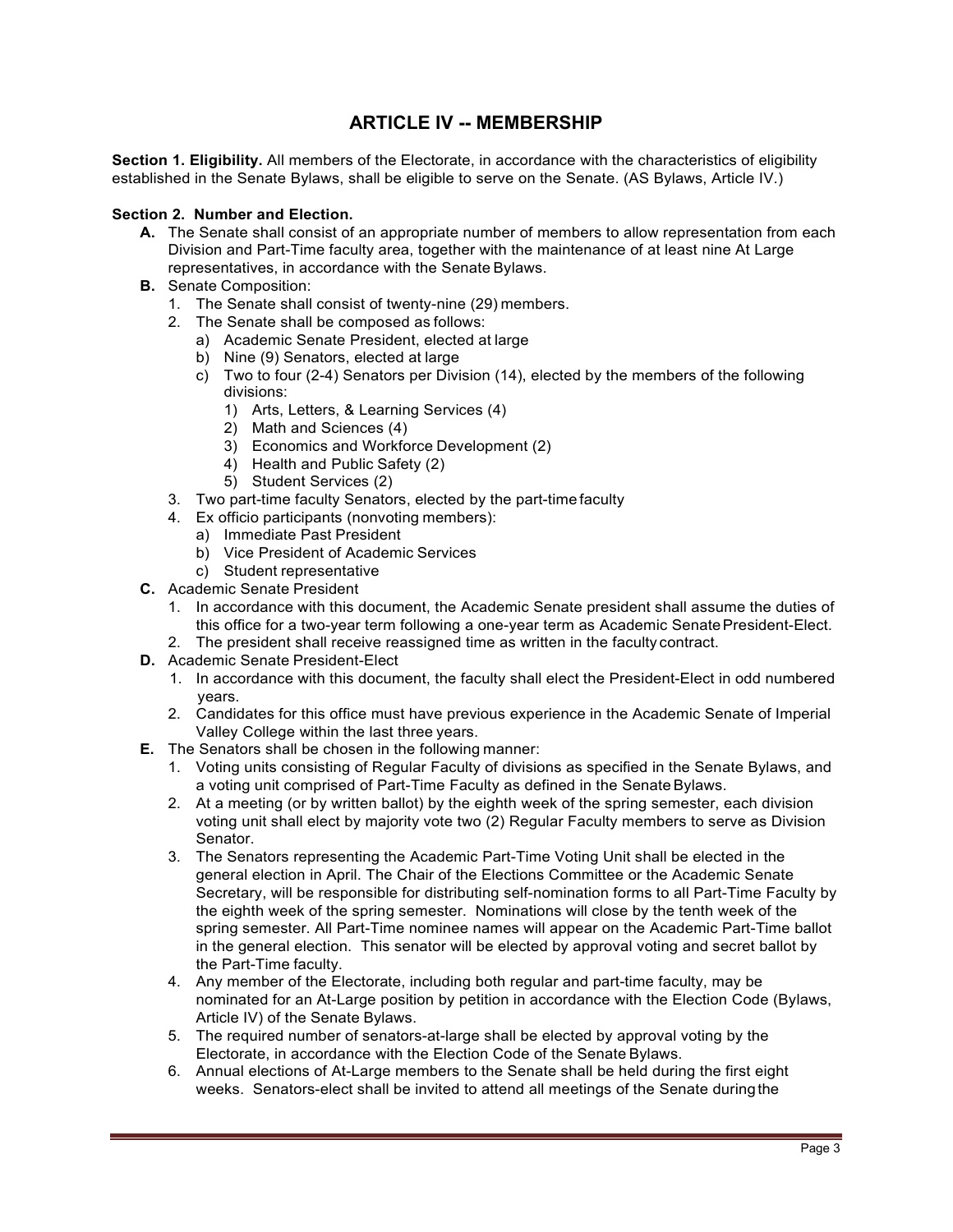# **ARTICLE IV -- MEMBERSHIP**

**Section 1. Eligibility.** All members of the Electorate, in accordance with the characteristics of eligibility established in the Senate Bylaws, shall be eligible to serve on the Senate. (AS Bylaws, Article IV.)

#### **Section 2. Number and Election.**

- **A.** The Senate shall consist of an appropriate number of members to allow representation from each Division and Part-Time faculty area, together with the maintenance of at least nine At Large representatives, in accordance with the Senate Bylaws.
- **B.** Senate Composition:
	- 1. The Senate shall consist of twenty-nine (29) members.
	- 2. The Senate shall be composed as follows:
		- a) Academic Senate President, elected at large
		- b) Nine (9) Senators, elected at large
		- c) Two to four (2-4) Senators per Division (14), elected by the members of the following divisions:
			- 1) Arts, Letters, & Learning Services (4)
			- 2) Math and Sciences (4)
			- 3) Economics and Workforce Development (2)
			- 4) Health and Public Safety (2)
			- 5) Student Services (2)
	- 3. Two part-time faculty Senators, elected by the part-time faculty
	- 4. Ex officio participants (nonvoting members):
		- a) Immediate Past President
		- b) Vice President of Academic Services
		- c) Student representative
- **C.** Academic Senate President
	- 1. In accordance with this document, the Academic Senate president shall assume the duties of this office for a two-year term following a one-year term as Academic Senate President-Elect.
	- 2. The president shall receive reassigned time as written in the faculty contract.
- **D.** Academic Senate President-Elect
	- 1. In accordance with this document, the faculty shall elect the President-Elect in odd numbered years.
	- 2. Candidates for this office must have previous experience in the Academic Senate of Imperial Valley College within the last three years.
- **E.** The Senators shall be chosen in the following manner:
	- 1. Voting units consisting of Regular Faculty of divisions as specified in the Senate Bylaws, and a voting unit comprised of Part-Time Faculty as defined in the Senate Bylaws.
	- 2. At a meeting (or by written ballot) by the eighth week of the spring semester, each division voting unit shall elect by majority vote two (2) Regular Faculty members to serve as Division Senator.
	- 3. The Senators representing the Academic Part-Time Voting Unit shall be elected in the general election in April. The Chair of the Elections Committee or the Academic Senate Secretary, will be responsible for distributing self-nomination forms to all Part-Time Faculty by the eighth week of the spring semester. Nominations will close by the tenth week of the spring semester. All Part-Time nominee names will appear on the Academic Part-Time ballot in the general election. This senator will be elected by approval voting and secret ballot by the Part-Time faculty.
	- 4. Any member of the Electorate, including both regular and part-time faculty, may be nominated for an At-Large position by petition in accordance with the Election Code (Bylaws, Article IV) of the Senate Bylaws.
	- 5. The required number of senators-at-large shall be elected by approval voting by the Electorate, in accordance with the Election Code of the Senate Bylaws.
	- 6. Annual elections of At-Large members to the Senate shall be held during the first eight weeks. Senators-elect shall be invited to attend all meetings of the Senate duringthe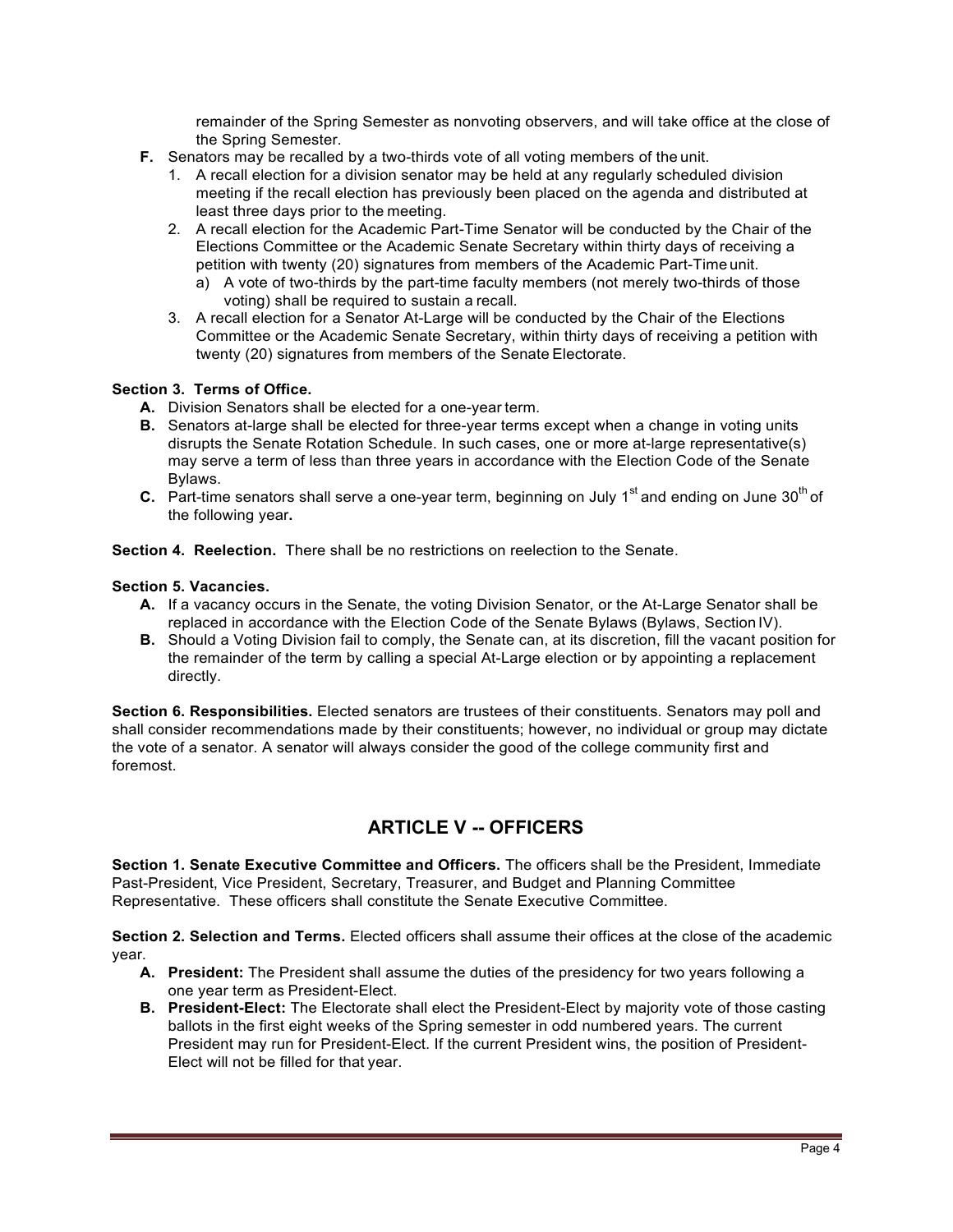remainder of the Spring Semester as nonvoting observers, and will take office at the close of the Spring Semester.

- **F.** Senators may be recalled by a two-thirds vote of all voting members of the unit.
	- 1. A recall election for a division senator may be held at any regularly scheduled division meeting if the recall election has previously been placed on the agenda and distributed at least three days prior to the meeting.
	- 2. A recall election for the Academic Part-Time Senator will be conducted by the Chair of the Elections Committee or the Academic Senate Secretary within thirty days of receiving a petition with twenty (20) signatures from members of the Academic Part-Time unit.
		- a) A vote of two-thirds by the part-time faculty members (not merely two-thirds of those voting) shall be required to sustain a recall.
	- 3. A recall election for a Senator At-Large will be conducted by the Chair of the Elections Committee or the Academic Senate Secretary, within thirty days of receiving a petition with twenty (20) signatures from members of the Senate Electorate.

#### **Section 3. Terms of Office.**

- **A.** Division Senators shall be elected for a one-year term.
- **B.** Senators at-large shall be elected for three-year terms except when a change in voting units disrupts the Senate Rotation Schedule. In such cases, one or more at-large representative(s) may serve a term of less than three years in accordance with the Election Code of the Senate Bylaws.
- **C.** Part-time senators shall serve a one-year term, beginning on July 1<sup>st</sup> and ending on June 30<sup>th</sup> of the following year**.**

**Section 4. Reelection.** There shall be no restrictions on reelection to the Senate.

#### **Section 5. Vacancies.**

- **A.** If a vacancy occurs in the Senate, the voting Division Senator, or the At-Large Senator shall be replaced in accordance with the Election Code of the Senate Bylaws (Bylaws, Section IV).
- **B.** Should a Voting Division fail to comply, the Senate can, at its discretion, fill the vacant position for the remainder of the term by calling a special At-Large election or by appointing a replacement directly.

**Section 6. Responsibilities.** Elected senators are trustees of their constituents. Senators may poll and shall consider recommendations made by their constituents; however, no individual or group may dictate the vote of a senator. A senator will always consider the good of the college community first and foremost.

# **ARTICLE V -- OFFICERS**

**Section 1. Senate Executive Committee and Officers.** The officers shall be the President, Immediate Past-President, Vice President, Secretary, Treasurer, and Budget and Planning Committee Representative. These officers shall constitute the Senate Executive Committee.

**Section 2. Selection and Terms.** Elected officers shall assume their offices at the close of the academic year.

- **A. President:** The President shall assume the duties of the presidency for two years following a one year term as President-Elect.
- **B. President-Elect:** The Electorate shall elect the President-Elect by majority vote of those casting ballots in the first eight weeks of the Spring semester in odd numbered years. The current President may run for President-Elect. If the current President wins, the position of President-Elect will not be filled for that year.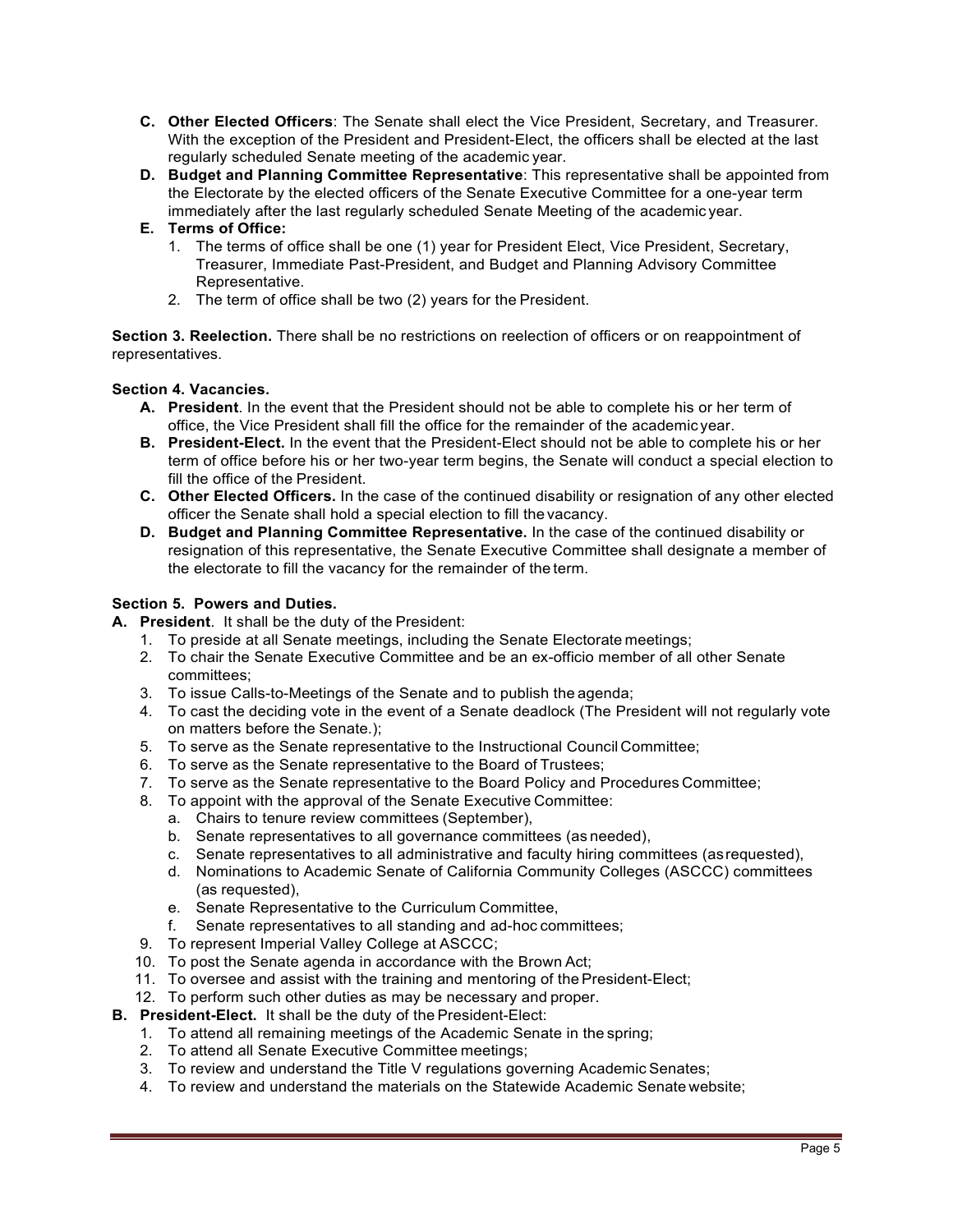- **C. Other Elected Officers**: The Senate shall elect the Vice President, Secretary, and Treasurer. With the exception of the President and President-Elect, the officers shall be elected at the last regularly scheduled Senate meeting of the academic year.
- **D. Budget and Planning Committee Representative**: This representative shall be appointed from the Electorate by the elected officers of the Senate Executive Committee for a one-year term immediately after the last regularly scheduled Senate Meeting of the academic year.

## **E. Terms of Office:**

- 1. The terms of office shall be one (1) year for President Elect, Vice President, Secretary, Treasurer, Immediate Past-President, and Budget and Planning Advisory Committee Representative.
- 2. The term of office shall be two (2) years for the President.

**Section 3. Reelection.** There shall be no restrictions on reelection of officers or on reappointment of representatives.

### **Section 4. Vacancies.**

- **A. President**. In the event that the President should not be able to complete his or her term of office, the Vice President shall fill the office for the remainder of the academic year.
- **B. President-Elect.** In the event that the President-Elect should not be able to complete his or her term of office before his or her two-year term begins, the Senate will conduct a special election to fill the office of the President.
- **C. Other Elected Officers.** In the case of the continued disability or resignation of any other elected officer the Senate shall hold a special election to fill the vacancy.
- **D. Budget and Planning Committee Representative.** In the case of the continued disability or resignation of this representative, the Senate Executive Committee shall designate a member of the electorate to fill the vacancy for the remainder of the term.

### **Section 5. Powers and Duties.**

- **A. President**. It shall be the duty of the President:
	- 1. To preside at all Senate meetings, including the Senate Electorate meetings;
	- 2. To chair the Senate Executive Committee and be an ex-officio member of all other Senate committees;
	- 3. To issue Calls-to-Meetings of the Senate and to publish the agenda;
	- 4. To cast the deciding vote in the event of a Senate deadlock (The President will not regularly vote on matters before the Senate.);
	- 5. To serve as the Senate representative to the Instructional Council Committee;
	- 6. To serve as the Senate representative to the Board of Trustees;
	- 7. To serve as the Senate representative to the Board Policy and Procedures Committee;
	- 8. To appoint with the approval of the Senate Executive Committee:
		- a. Chairs to tenure review committees (September),
		- b. Senate representatives to all governance committees (as needed),
		- c. Senate representatives to all administrative and faculty hiring committees (asrequested),
		- d. Nominations to Academic Senate of California Community Colleges (ASCCC) committees (as requested),
		- e. Senate Representative to the Curriculum Committee,
		- f. Senate representatives to all standing and ad-hoc committees;
	- 9. To represent Imperial Valley College at ASCCC;
	- 10. To post the Senate agenda in accordance with the Brown Act;
	- 11. To oversee and assist with the training and mentoring of the President-Elect;
	- 12. To perform such other duties as may be necessary and proper.
- **B. President-Elect.** It shall be the duty of the President-Elect:
	- 1. To attend all remaining meetings of the Academic Senate in the spring;
	- 2. To attend all Senate Executive Committee meetings;
	- 3. To review and understand the Title V regulations governing Academic Senates;
	- 4. To review and understand the materials on the Statewide Academic Senate website;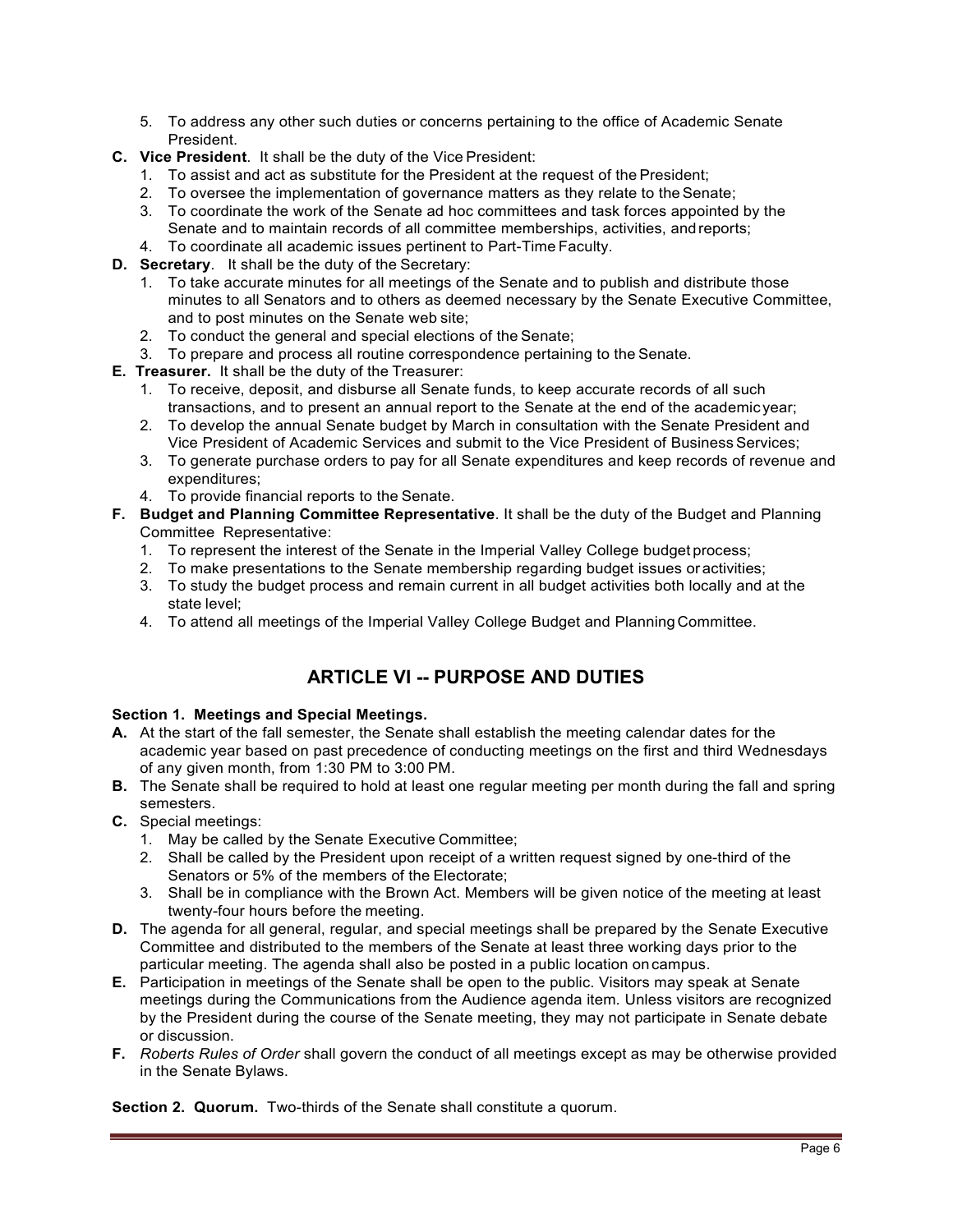- 5. To address any other such duties or concerns pertaining to the office of Academic Senate President.
- **C. Vice President**. It shall be the duty of the Vice President:
	- 1. To assist and act as substitute for the President at the request of the President;
	- 2. To oversee the implementation of governance matters as they relate to theSenate;
	- 3. To coordinate the work of the Senate ad hoc committees and task forces appointed by the Senate and to maintain records of all committee memberships, activities, andreports;
	- 4. To coordinate all academic issues pertinent to Part-Time Faculty.
- **D. Secretary**. It shall be the duty of the Secretary:
	- 1. To take accurate minutes for all meetings of the Senate and to publish and distribute those minutes to all Senators and to others as deemed necessary by the Senate Executive Committee, and to post minutes on the Senate web site;
	- 2. To conduct the general and special elections of the Senate;
	- 3. To prepare and process all routine correspondence pertaining to the Senate.
- **E. Treasurer.** It shall be the duty of the Treasurer:
	- 1. To receive, deposit, and disburse all Senate funds, to keep accurate records of all such transactions, and to present an annual report to the Senate at the end of the academic year;
	- 2. To develop the annual Senate budget by March in consultation with the Senate President and Vice President of Academic Services and submit to the Vice President of Business Services;
	- 3. To generate purchase orders to pay for all Senate expenditures and keep records of revenue and expenditures;
	- 4. To provide financial reports to the Senate.
- **F. Budget and Planning Committee Representative**. It shall be the duty of the Budget and Planning Committee Representative:
	- 1. To represent the interest of the Senate in the Imperial Valley College budget process;
	- 2. To make presentations to the Senate membership regarding budget issues or activities;
	- 3. To study the budget process and remain current in all budget activities both locally and at the state level;
	- 4. To attend all meetings of the Imperial Valley College Budget and Planning Committee.

# **ARTICLE VI -- PURPOSE AND DUTIES**

## **Section 1. Meetings and Special Meetings.**

- **A.** At the start of the fall semester, the Senate shall establish the meeting calendar dates for the academic year based on past precedence of conducting meetings on the first and third Wednesdays of any given month, from 1:30 PM to 3:00 PM.
- **B.** The Senate shall be required to hold at least one regular meeting per month during the fall and spring semesters.
- **C.** Special meetings:
	- 1. May be called by the Senate Executive Committee;
	- 2. Shall be called by the President upon receipt of a written request signed by one-third of the Senators or 5% of the members of the Electorate;
	- 3. Shall be in compliance with the Brown Act. Members will be given notice of the meeting at least twenty-four hours before the meeting.
- **D.** The agenda for all general, regular, and special meetings shall be prepared by the Senate Executive Committee and distributed to the members of the Senate at least three working days prior to the particular meeting. The agenda shall also be posted in a public location oncampus.
- **E.** Participation in meetings of the Senate shall be open to the public. Visitors may speak at Senate meetings during the Communications from the Audience agenda item. Unless visitors are recognized by the President during the course of the Senate meeting, they may not participate in Senate debate or discussion.
- **F.** *Roberts Rules of Order* shall govern the conduct of all meetings except as may be otherwise provided in the Senate Bylaws.

**Section 2. Quorum.** Two-thirds of the Senate shall constitute a quorum.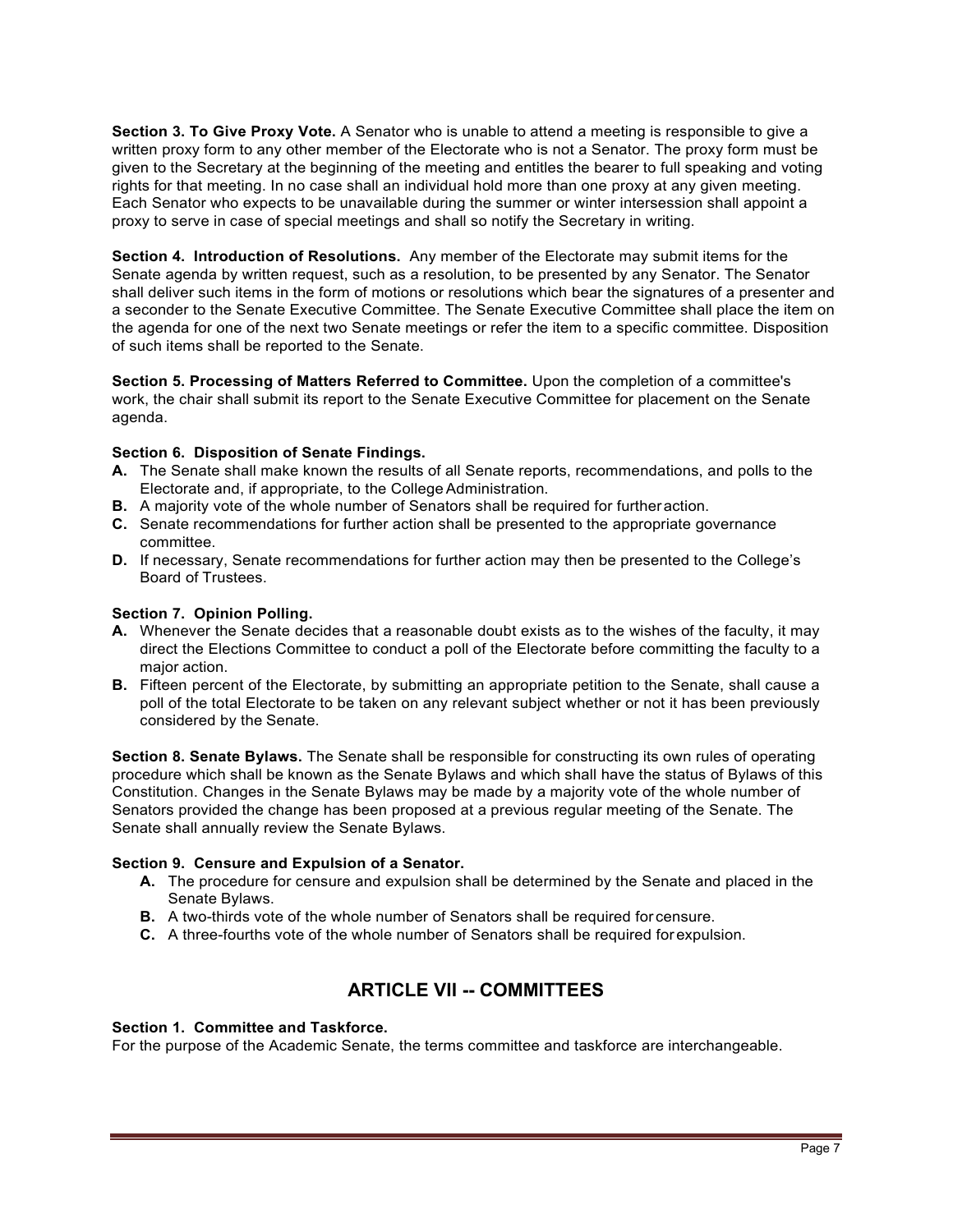**Section 3. To Give Proxy Vote.** A Senator who is unable to attend a meeting is responsible to give a written proxy form to any other member of the Electorate who is not a Senator. The proxy form must be given to the Secretary at the beginning of the meeting and entitles the bearer to full speaking and voting rights for that meeting. In no case shall an individual hold more than one proxy at any given meeting. Each Senator who expects to be unavailable during the summer or winter intersession shall appoint a proxy to serve in case of special meetings and shall so notify the Secretary in writing.

**Section 4. Introduction of Resolutions.** Any member of the Electorate may submit items for the Senate agenda by written request, such as a resolution, to be presented by any Senator. The Senator shall deliver such items in the form of motions or resolutions which bear the signatures of a presenter and a seconder to the Senate Executive Committee. The Senate Executive Committee shall place the item on the agenda for one of the next two Senate meetings or refer the item to a specific committee. Disposition of such items shall be reported to the Senate.

**Section 5. Processing of Matters Referred to Committee.** Upon the completion of a committee's work, the chair shall submit its report to the Senate Executive Committee for placement on the Senate agenda.

### **Section 6. Disposition of Senate Findings.**

- **A.** The Senate shall make known the results of all Senate reports, recommendations, and polls to the Electorate and, if appropriate, to the College Administration.
- **B.** A majority vote of the whole number of Senators shall be required for furtheraction.
- **C.** Senate recommendations for further action shall be presented to the appropriate governance committee.
- **D.** If necessary, Senate recommendations for further action may then be presented to the College's Board of Trustees.

#### **Section 7. Opinion Polling.**

- **A.** Whenever the Senate decides that a reasonable doubt exists as to the wishes of the faculty, it may direct the Elections Committee to conduct a poll of the Electorate before committing the faculty to a major action.
- **B.** Fifteen percent of the Electorate, by submitting an appropriate petition to the Senate, shall cause a poll of the total Electorate to be taken on any relevant subject whether or not it has been previously considered by the Senate.

**Section 8. Senate Bylaws.** The Senate shall be responsible for constructing its own rules of operating procedure which shall be known as the Senate Bylaws and which shall have the status of Bylaws of this Constitution. Changes in the Senate Bylaws may be made by a majority vote of the whole number of Senators provided the change has been proposed at a previous regular meeting of the Senate. The Senate shall annually review the Senate Bylaws.

#### **Section 9. Censure and Expulsion of a Senator.**

- **A.** The procedure for censure and expulsion shall be determined by the Senate and placed in the Senate Bylaws.
- **B.** A two-thirds vote of the whole number of Senators shall be required for censure.
- **C.** A three-fourths vote of the whole number of Senators shall be required for expulsion.

# **ARTICLE VII -- COMMITTEES**

### **Section 1. Committee and Taskforce.**

For the purpose of the Academic Senate, the terms committee and taskforce are interchangeable.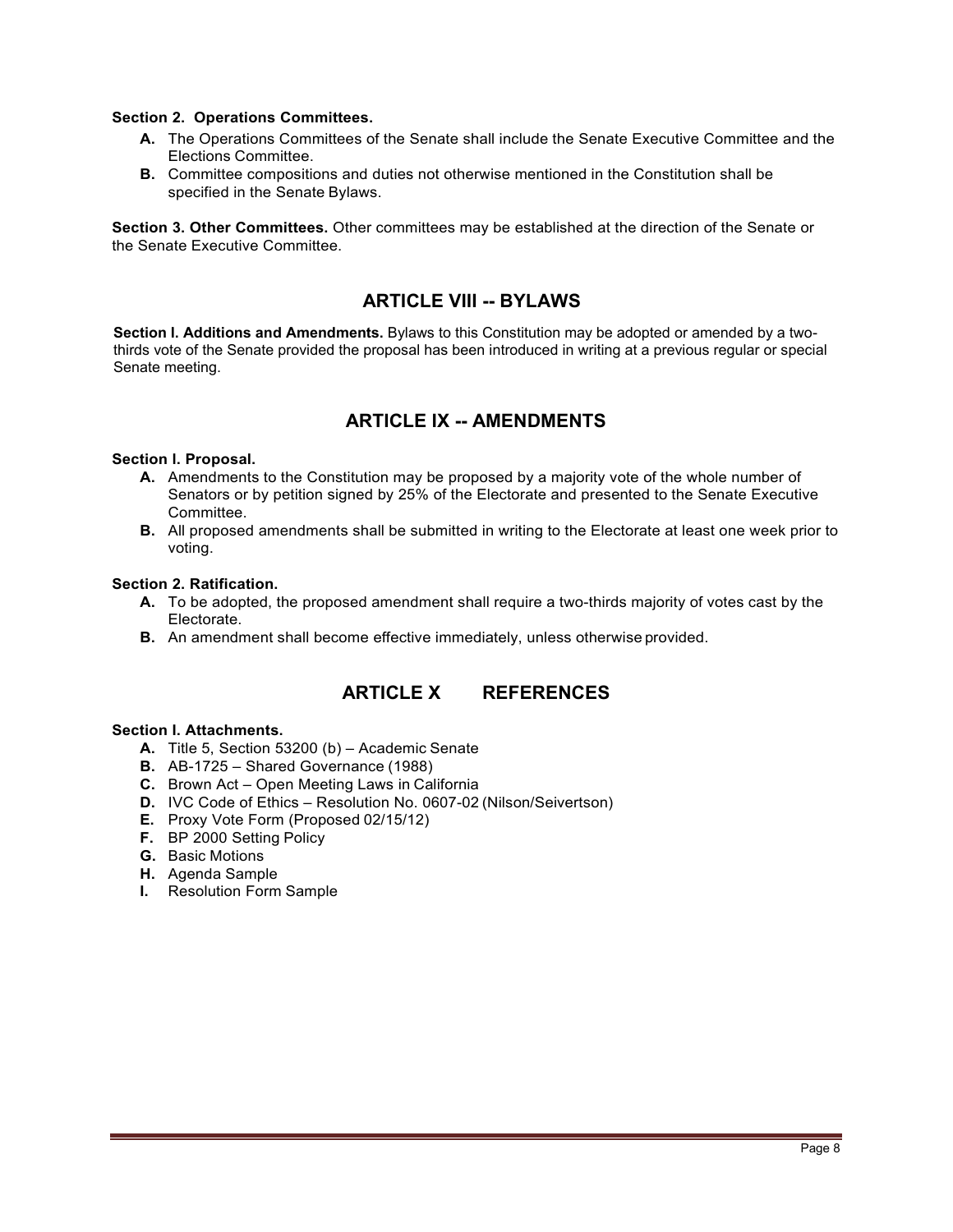#### **Section 2. Operations Committees.**

- **A.** The Operations Committees of the Senate shall include the Senate Executive Committee and the Elections Committee.
- **B.** Committee compositions and duties not otherwise mentioned in the Constitution shall be specified in the Senate Bylaws.

**Section 3. Other Committees.** Other committees may be established at the direction of the Senate or the Senate Executive Committee.

# **ARTICLE VIII -- BYLAWS**

**Section I. Additions and Amendments.** Bylaws to this Constitution may be adopted or amended by a twothirds vote of the Senate provided the proposal has been introduced in writing at a previous regular or special Senate meeting.

# **ARTICLE IX -- AMENDMENTS**

#### **Section l. Proposal.**

- **A.** Amendments to the Constitution may be proposed by a majority vote of the whole number of Senators or by petition signed by 25% of the Electorate and presented to the Senate Executive Committee.
- **B.** All proposed amendments shall be submitted in writing to the Electorate at least one week prior to voting.

#### **Section 2. Ratification.**

- **A.** To be adopted, the proposed amendment shall require a two-thirds majority of votes cast by the Electorate.
- **B.** An amendment shall become effective immediately, unless otherwise provided.

# **ARTICLE X REFERENCES**

#### **Section I. Attachments.**

- **A.** Title 5, Section 53200 (b) Academic Senate
- **B.** AB-1725 Shared Governance (1988)
- **C.** Brown Act Open Meeting Laws in California
- **D.** IVC Code of Ethics Resolution No. 0607-02 (Nilson/Seivertson)
- **E.** Proxy Vote Form (Proposed 02/15/12)
- **F.** BP 2000 Setting Policy
- **G.** Basic Motions
- **H.** Agenda Sample
- **I.** Resolution Form Sample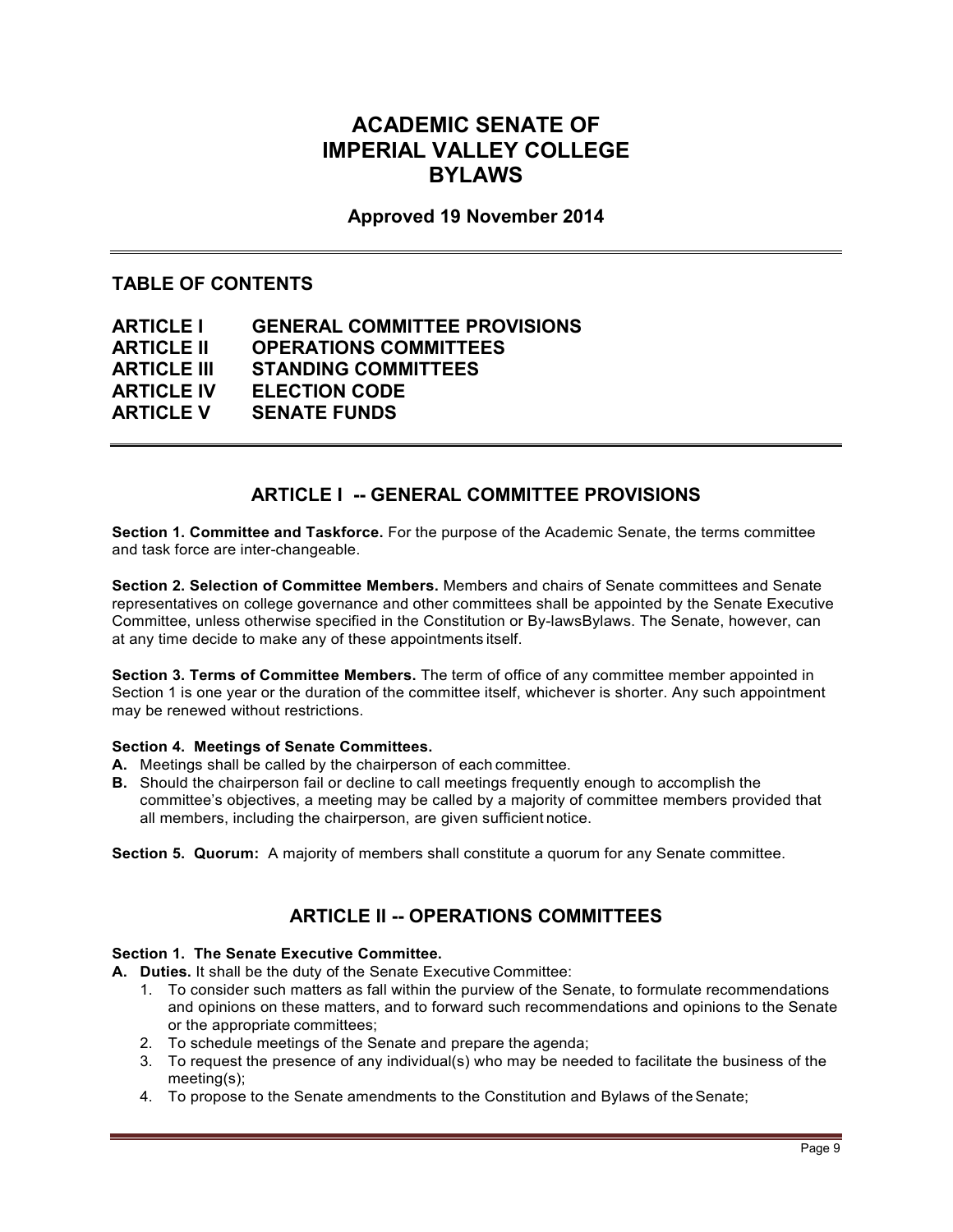# **ACADEMIC SENATE OF IMPERIAL VALLEY COLLEGE BYLAWS**

# **Approved 19 November 2014**

# **TABLE OF CONTENTS**

| <b>ARTICLE I</b>   | <b>GENERAL COMMITTEE PROVISIONS</b> |
|--------------------|-------------------------------------|
| <b>ARTICLE II</b>  | <b>OPERATIONS COMMITTEES</b>        |
| <b>ARTICLE III</b> | <b>STANDING COMMITTEES</b>          |
| <b>ARTICLE IV</b>  | <b>ELECTION CODE</b>                |
| <b>ARTICLE V</b>   | <b>SENATE FUNDS</b>                 |

# **ARTICLE I -- GENERAL COMMITTEE PROVISIONS**

**Section 1. Committee and Taskforce.** For the purpose of the Academic Senate, the terms committee and task force are inter-changeable.

**Section 2. Selection of Committee Members.** Members and chairs of Senate committees and Senate representatives on college governance and other committees shall be appointed by the Senate Executive Committee, unless otherwise specified in the Constitution or By-lawsBylaws. The Senate, however, can at any time decide to make any of these appointments itself.

**Section 3. Terms of Committee Members.** The term of office of any committee member appointed in Section 1 is one year or the duration of the committee itself, whichever is shorter. Any such appointment may be renewed without restrictions.

#### **Section 4. Meetings of Senate Committees.**

- **A.** Meetings shall be called by the chairperson of each committee.
- **B.** Should the chairperson fail or decline to call meetings frequently enough to accomplish the committee's objectives, a meeting may be called by a majority of committee members provided that all members, including the chairperson, are given sufficient notice.

**Section 5. Quorum:** A majority of members shall constitute a quorum for any Senate committee.

# **ARTICLE II -- OPERATIONS COMMITTEES**

#### **Section 1. The Senate Executive Committee.**

**A. Duties.** It shall be the duty of the Senate Executive Committee:

- 1. To consider such matters as fall within the purview of the Senate, to formulate recommendations and opinions on these matters, and to forward such recommendations and opinions to the Senate or the appropriate committees;
- 2. To schedule meetings of the Senate and prepare the agenda;
- 3. To request the presence of any individual(s) who may be needed to facilitate the business of the meeting(s);
- 4. To propose to the Senate amendments to the Constitution and Bylaws of theSenate;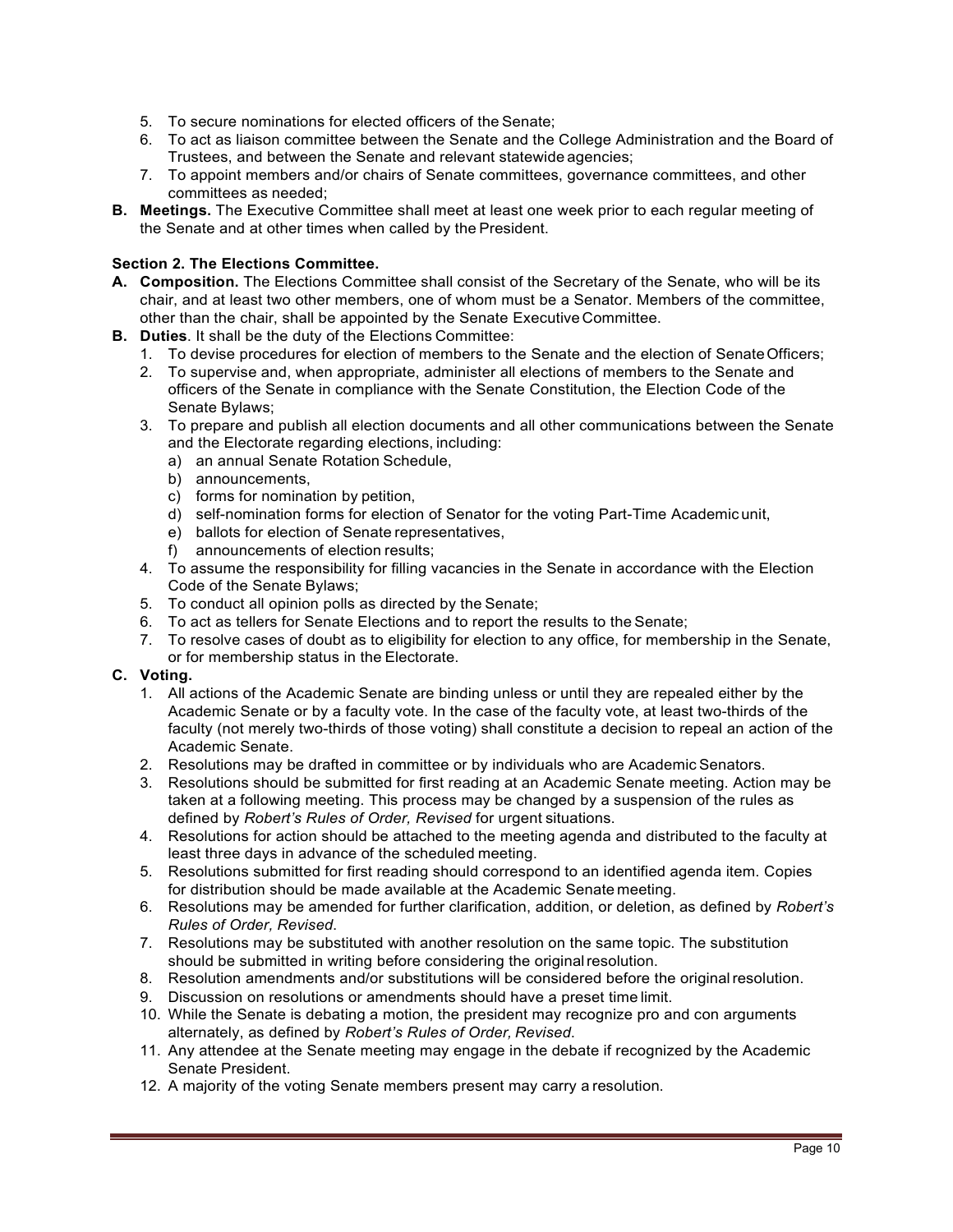- 5. To secure nominations for elected officers of the Senate;
- 6. To act as liaison committee between the Senate and the College Administration and the Board of Trustees, and between the Senate and relevant statewide agencies;
- 7. To appoint members and/or chairs of Senate committees, governance committees, and other committees as needed;
- **B. Meetings.** The Executive Committee shall meet at least one week prior to each regular meeting of the Senate and at other times when called by the President.

### **Section 2. The Elections Committee.**

- **A. Composition.** The Elections Committee shall consist of the Secretary of the Senate, who will be its chair, and at least two other members, one of whom must be a Senator. Members of the committee, other than the chair, shall be appointed by the Senate Executive Committee.
- **B. Duties**. It shall be the duty of the Elections Committee:
	- 1. To devise procedures for election of members to the Senate and the election of SenateOfficers;
	- 2. To supervise and, when appropriate, administer all elections of members to the Senate and officers of the Senate in compliance with the Senate Constitution, the Election Code of the Senate Bylaws;
	- 3. To prepare and publish all election documents and all other communications between the Senate and the Electorate regarding elections, including:
		- a) an annual Senate Rotation Schedule,
		- b) announcements,
		- c) forms for nomination by petition,
		- d) self-nomination forms for election of Senator for the voting Part-Time Academic unit,
		- e) ballots for election of Senate representatives,
		- f) announcements of election results;
	- 4. To assume the responsibility for filling vacancies in the Senate in accordance with the Election Code of the Senate Bylaws;
	- 5. To conduct all opinion polls as directed by the Senate;
	- 6. To act as tellers for Senate Elections and to report the results to the Senate;
	- 7. To resolve cases of doubt as to eligibility for election to any office, for membership in the Senate, or for membership status in the Electorate.

#### **C. Voting.**

- 1. All actions of the Academic Senate are binding unless or until they are repealed either by the Academic Senate or by a faculty vote. In the case of the faculty vote, at least two-thirds of the faculty (not merely two-thirds of those voting) shall constitute a decision to repeal an action of the Academic Senate.
- 2. Resolutions may be drafted in committee or by individuals who are Academic Senators.
- 3. Resolutions should be submitted for first reading at an Academic Senate meeting. Action may be taken at a following meeting. This process may be changed by a suspension of the rules as defined by *Robert's Rules of Order, Revised* for urgent situations.
- 4. Resolutions for action should be attached to the meeting agenda and distributed to the faculty at least three days in advance of the scheduled meeting.
- 5. Resolutions submitted for first reading should correspond to an identified agenda item. Copies for distribution should be made available at the Academic Senate meeting.
- 6. Resolutions may be amended for further clarification, addition, or deletion, as defined by *Robert's Rules of Order, Revised*.
- 7. Resolutions may be substituted with another resolution on the same topic. The substitution should be submitted in writing before considering the originalresolution.
- 8. Resolution amendments and/or substitutions will be considered before the originalresolution.
- 9. Discussion on resolutions or amendments should have a preset time limit.
- 10. While the Senate is debating a motion, the president may recognize pro and con arguments alternately, as defined by *Robert's Rules of Order, Revised*.
- 11. Any attendee at the Senate meeting may engage in the debate if recognized by the Academic Senate President.
- 12. A majority of the voting Senate members present may carry a resolution.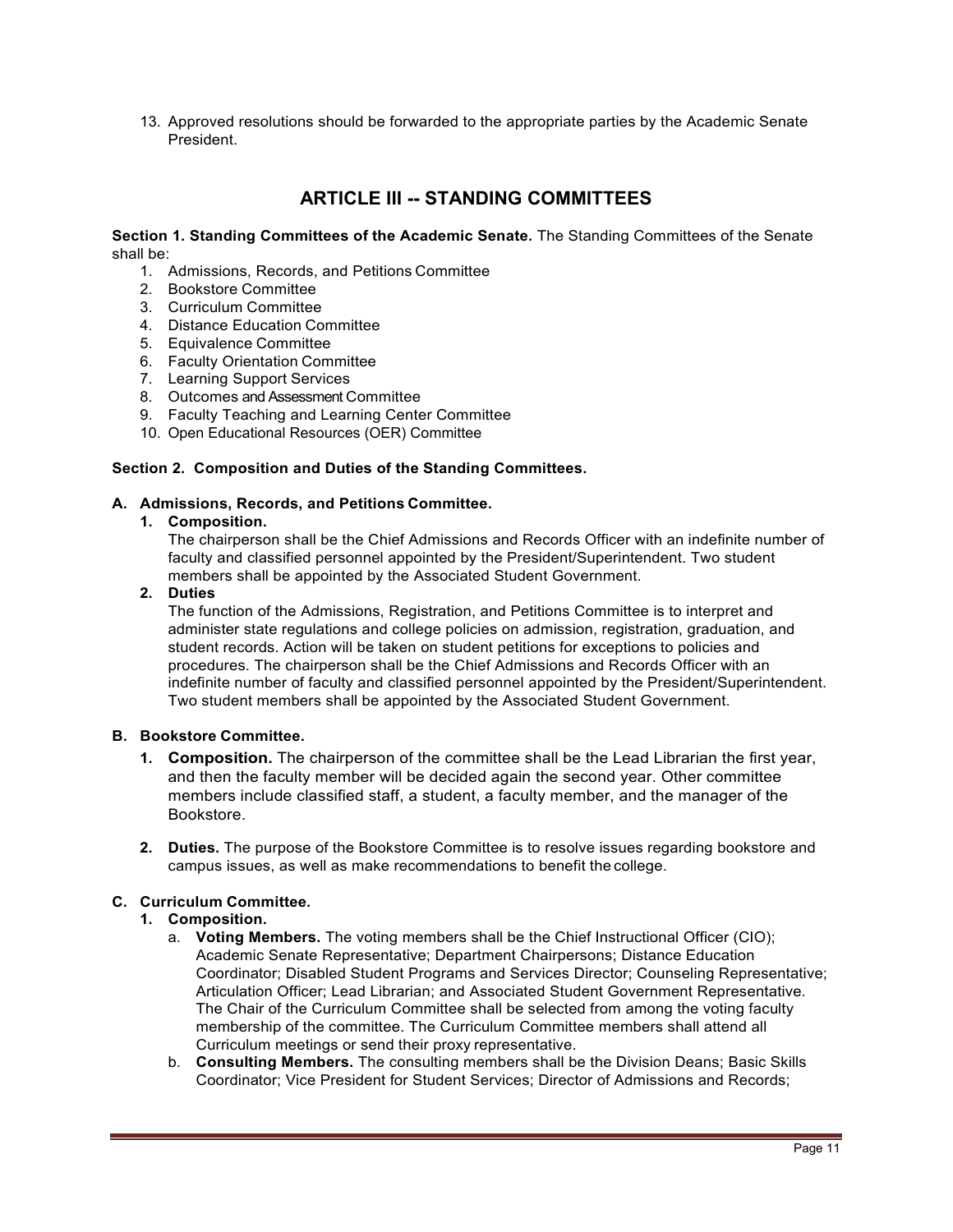13. Approved resolutions should be forwarded to the appropriate parties by the Academic Senate President.

# **ARTICLE III -- STANDING COMMITTEES**

#### **Section 1. Standing Committees of the Academic Senate.** The Standing Committees of the Senate shall be:

- 1. Admissions, Records, and Petitions Committee
- 2. Bookstore Committee
- 3. Curriculum Committee
- 4. Distance Education Committee
- 5. Equivalence Committee
- 6. Faculty Orientation Committee
- 7. Learning Support Services
- 8. Outcomes and Assessment Committee
- 9. Faculty Teaching and Learning Center Committee
- 10. Open Educational Resources (OER) Committee

#### **Section 2. Composition and Duties of the Standing Committees.**

#### **A. Admissions, Records, and Petitions Committee.**

#### **1. Composition.**

The chairperson shall be the Chief Admissions and Records Officer with an indefinite number of faculty and classified personnel appointed by the President/Superintendent. Two student members shall be appointed by the Associated Student Government.

#### **2. Duties**

The function of the Admissions, Registration, and Petitions Committee is to interpret and administer state regulations and college policies on admission, registration, graduation, and student records. Action will be taken on student petitions for exceptions to policies and procedures. The chairperson shall be the Chief Admissions and Records Officer with an indefinite number of faculty and classified personnel appointed by the President/Superintendent. Two student members shall be appointed by the Associated Student Government.

#### **B. Bookstore Committee.**

- **1. Composition.** The chairperson of the committee shall be the Lead Librarian the first year, and then the faculty member will be decided again the second year. Other committee members include classified staff, a student, a faculty member, and the manager of the Bookstore.
- **2. Duties.** The purpose of the Bookstore Committee is to resolve issues regarding bookstore and campus issues, as well as make recommendations to benefit the college.

#### **C. Curriculum Committee.**

#### **1. Composition.**

- a. **Voting Members.** The voting members shall be the Chief Instructional Officer (CIO); Academic Senate Representative; Department Chairpersons; Distance Education Coordinator; Disabled Student Programs and Services Director; Counseling Representative; Articulation Officer; Lead Librarian; and Associated Student Government Representative. The Chair of the Curriculum Committee shall be selected from among the voting faculty membership of the committee. The Curriculum Committee members shall attend all Curriculum meetings or send their proxy representative.
- b. **Consulting Members.** The consulting members shall be the Division Deans; Basic Skills Coordinator; Vice President for Student Services; Director of Admissions and Records;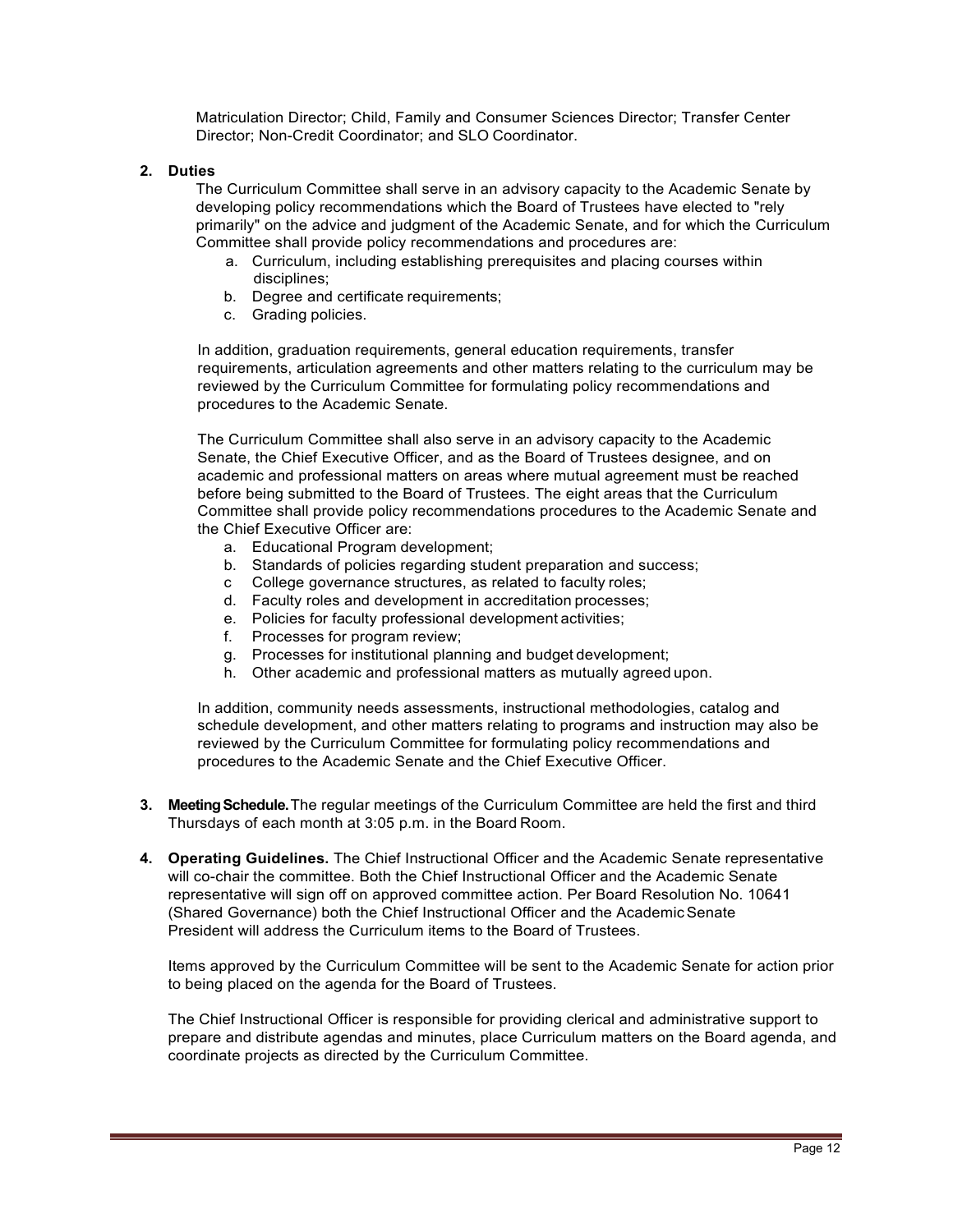Matriculation Director; Child, Family and Consumer Sciences Director; Transfer Center Director; Non-Credit Coordinator; and SLO Coordinator.

#### **2. Duties**

The Curriculum Committee shall serve in an advisory capacity to the Academic Senate by developing policy recommendations which the Board of Trustees have elected to "rely primarily" on the advice and judgment of the Academic Senate, and for which the Curriculum Committee shall provide policy recommendations and procedures are:

- a. Curriculum, including establishing prerequisites and placing courses within disciplines;
- b. Degree and certificate requirements;
- c. Grading policies.

In addition, graduation requirements, general education requirements, transfer requirements, articulation agreements and other matters relating to the curriculum may be reviewed by the Curriculum Committee for formulating policy recommendations and procedures to the Academic Senate.

The Curriculum Committee shall also serve in an advisory capacity to the Academic Senate, the Chief Executive Officer, and as the Board of Trustees designee, and on academic and professional matters on areas where mutual agreement must be reached before being submitted to the Board of Trustees. The eight areas that the Curriculum Committee shall provide policy recommendations procedures to the Academic Senate and the Chief Executive Officer are:

- a. Educational Program development;
- b. Standards of policies regarding student preparation and success;
- c College governance structures, as related to faculty roles;
- d. Faculty roles and development in accreditation processes;
- e. Policies for faculty professional development activities;
- f. Processes for program review;
- g. Processes for institutional planning and budget development;
- h. Other academic and professional matters as mutually agreed upon.

In addition, community needs assessments, instructional methodologies, catalog and schedule development, and other matters relating to programs and instruction may also be reviewed by the Curriculum Committee for formulating policy recommendations and procedures to the Academic Senate and the Chief Executive Officer.

- **3. MeetingSchedule.**The regular meetings of the Curriculum Committee are held the first and third Thursdays of each month at 3:05 p.m. in the Board Room.
- **4. Operating Guidelines.** The Chief Instructional Officer and the Academic Senate representative will co-chair the committee. Both the Chief Instructional Officer and the Academic Senate representative will sign off on approved committee action. Per Board Resolution No. 10641 (Shared Governance) both the Chief Instructional Officer and the AcademicSenate President will address the Curriculum items to the Board of Trustees.

Items approved by the Curriculum Committee will be sent to the Academic Senate for action prior to being placed on the agenda for the Board of Trustees.

The Chief Instructional Officer is responsible for providing clerical and administrative support to prepare and distribute agendas and minutes, place Curriculum matters on the Board agenda, and coordinate projects as directed by the Curriculum Committee.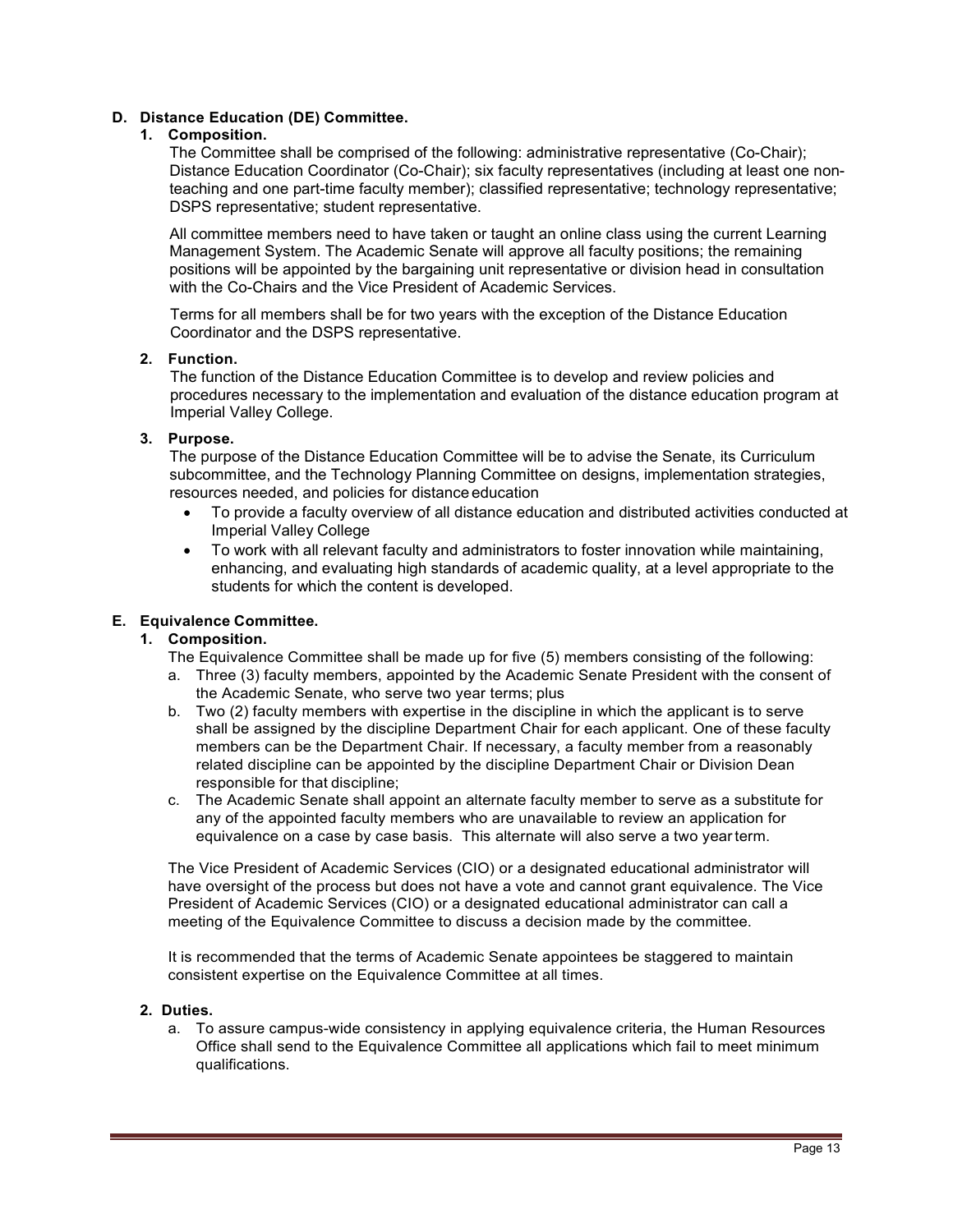#### **D. Distance Education (DE) Committee.**

#### **1. Composition.**

The Committee shall be comprised of the following: administrative representative (Co-Chair); Distance Education Coordinator (Co-Chair); six faculty representatives (including at least one nonteaching and one part-time faculty member); classified representative; technology representative; DSPS representative; student representative.

All committee members need to have taken or taught an online class using the current Learning Management System. The Academic Senate will approve all faculty positions; the remaining positions will be appointed by the bargaining unit representative or division head in consultation with the Co-Chairs and the Vice President of Academic Services.

Terms for all members shall be for two years with the exception of the Distance Education Coordinator and the DSPS representative.

#### **2. Function.**

The function of the Distance Education Committee is to develop and review policies and procedures necessary to the implementation and evaluation of the distance education program at Imperial Valley College.

### **3. Purpose.**

The purpose of the Distance Education Committee will be to advise the Senate, its Curriculum subcommittee, and the Technology Planning Committee on designs, implementation strategies, resources needed, and policies for distance education

- To provide a faculty overview of all distance education and distributed activities conducted at Imperial Valley College
- To work with all relevant faculty and administrators to foster innovation while maintaining, enhancing, and evaluating high standards of academic quality, at a level appropriate to the students for which the content is developed.

## **E. Equivalence Committee.**

### **1. Composition.**

The Equivalence Committee shall be made up for five (5) members consisting of the following:

- a. Three (3) faculty members, appointed by the Academic Senate President with the consent of the Academic Senate, who serve two year terms; plus
- b. Two (2) faculty members with expertise in the discipline in which the applicant is to serve shall be assigned by the discipline Department Chair for each applicant. One of these faculty members can be the Department Chair. If necessary, a faculty member from a reasonably related discipline can be appointed by the discipline Department Chair or Division Dean responsible for that discipline;
- c. The Academic Senate shall appoint an alternate faculty member to serve as a substitute for any of the appointed faculty members who are unavailable to review an application for equivalence on a case by case basis. This alternate will also serve a two yearterm.

The Vice President of Academic Services (CIO) or a designated educational administrator will have oversight of the process but does not have a vote and cannot grant equivalence. The Vice President of Academic Services (CIO) or a designated educational administrator can call a meeting of the Equivalence Committee to discuss a decision made by the committee.

It is recommended that the terms of Academic Senate appointees be staggered to maintain consistent expertise on the Equivalence Committee at all times.

#### **2. Duties.**

a. To assure campus-wide consistency in applying equivalence criteria, the Human Resources Office shall send to the Equivalence Committee all applications which fail to meet minimum qualifications.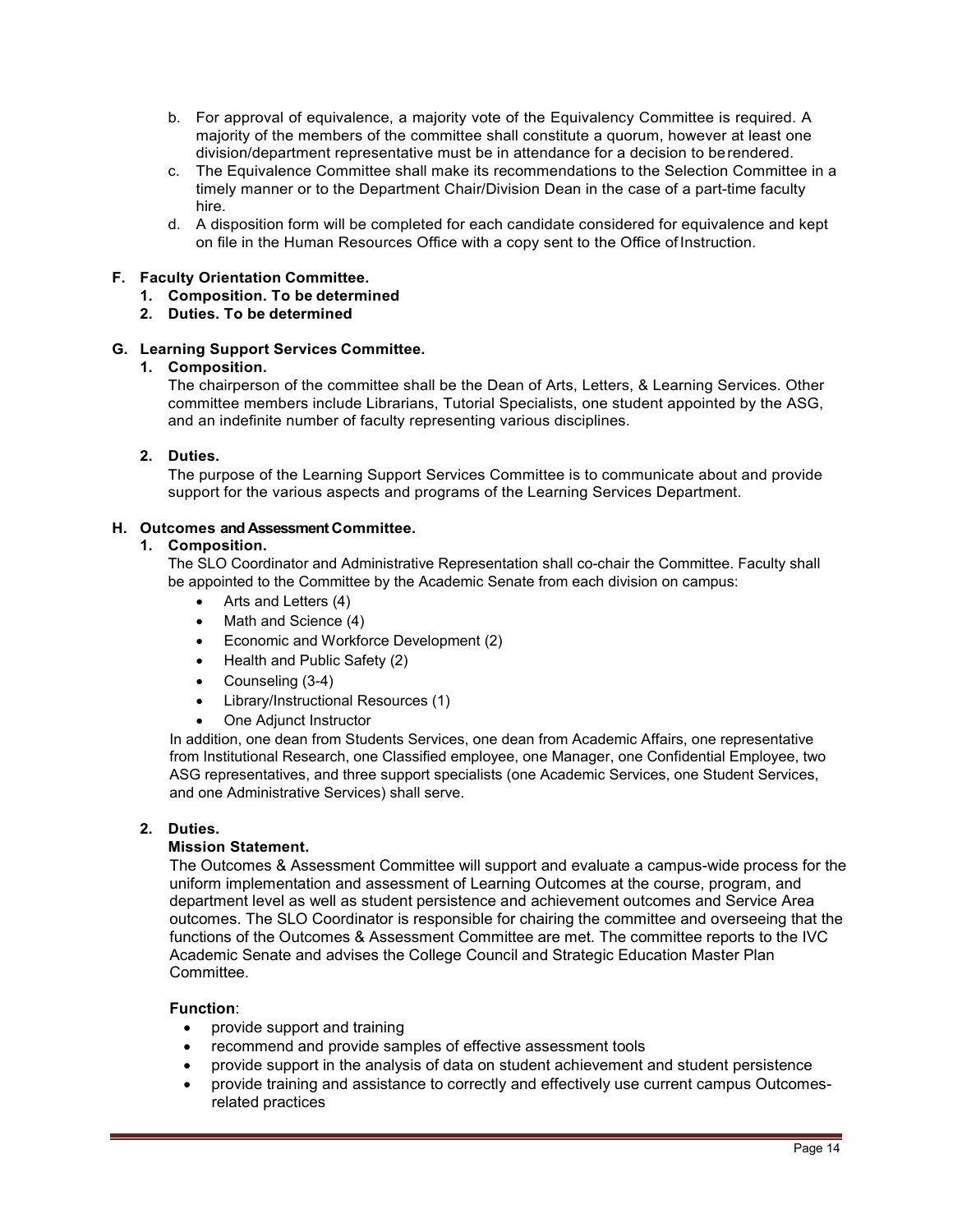- b. For approval of equivalence, a majority vote of the Equivalency Committee is required. A majority of the members of the committee shall constitute a quorum, however at least one division/department representative must be in attendance for a decision to berendered.
- c. The Equivalence Committee shall make its recommendations to the Selection Committee in a timely manner or to the Department Chair/Division Dean in the case of a part-time faculty hire.
- d. A disposition form will be completed for each candidate considered for equivalence and kept on file in the Human Resources Office with a copy sent to the Office of Instruction.

#### **F. Faculty Orientation Committee.**

- **1. Composition. To be determined**
- **2. Duties. To be determined**

#### **G. Learning Support Services Committee.**

#### **1. Composition.**

The chairperson of the committee shall be the Dean of Arts, Letters, & Learning Services. Other committee members include Librarians, Tutorial Specialists, one student appointed by the ASG, and an indefinite number of faculty representing various disciplines.

#### **2. Duties.**

The purpose of the Learning Support Services Committee is to communicate about and provide support for the various aspects and programs of the Learning Services Department.

#### **H. Outcomes and Assessment Committee.**

### **1. Composition.**

The SLO Coordinator and Administrative Representation shall co-chair the Committee. Faculty shall be appointed to the Committee by the Academic Senate from each division on campus:

- Arts and Letters (4)
- Math and Science (4)
- Economic and Workforce Development (2)
- Health and Public Safety (2)
- Counseling (3-4)
- Library/Instructional Resources (1)
- One Adjunct Instructor

In addition, one dean from Students Services, one dean from Academic Affairs, one representative from Institutional Research, one Classified employee, one Manager, one Confidential Employee, two ASG representatives, and three support specialists (one Academic Services, one Student Services, and one Administrative Services) shall serve.

#### **2. Duties.**

#### **Mission Statement.**

The Outcomes & Assessment Committee will support and evaluate a campus-wide process for the uniform implementation and assessment of Learning Outcomes at the course, program, and department level as well as student persistence and achievement outcomes and Service Area outcomes. The SLO Coordinator is responsible for chairing the committee and overseeing that the functions of the Outcomes & Assessment Committee are met. The committee reports to the IVC Academic Senate and advises the College Council and Strategic Education Master Plan **Committee.** 

#### **Function**:

- provide support and training
- recommend and provide samples of effective assessment tools
- provide support in the analysis of data on student achievement and student persistence
- provide training and assistance to correctly and effectively use current campus Outcomesrelated practices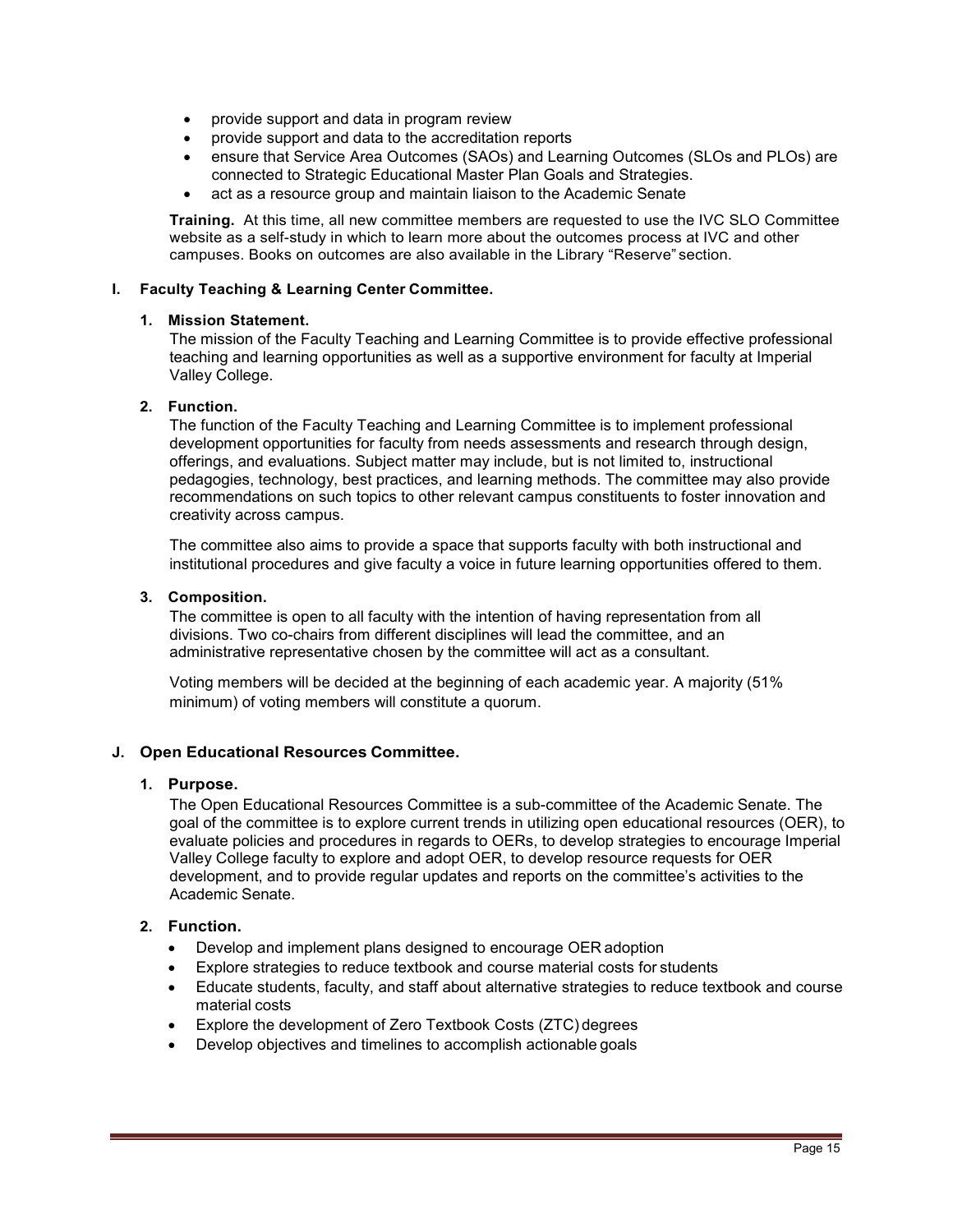- provide support and data in program review
- provide support and data to the accreditation reports
- ensure that Service Area Outcomes (SAOs) and Learning Outcomes (SLOs and PLOs) are connected to Strategic Educational Master Plan Goals and Strategies.
- act as a resource group and maintain liaison to the Academic Senate

**Training.** At this time, all new committee members are requested to use the IVC SLO Committee website as a self-study in which to learn more about the outcomes process at IVC and other campuses. Books on outcomes are also available in the Library "Reserve" section.

## **I. Faculty Teaching & Learning Center Committee.**

#### **1. Mission Statement.**

The mission of the Faculty Teaching and Learning Committee is to provide effective professional teaching and learning opportunities as well as a supportive environment for faculty at Imperial Valley College.

### **2. Function.**

The function of the Faculty Teaching and Learning Committee is to implement professional development opportunities for faculty from needs assessments and research through design, offerings, and evaluations. Subject matter may include, but is not limited to, instructional pedagogies, technology, best practices, and learning methods. The committee may also provide recommendations on such topics to other relevant campus constituents to foster innovation and creativity across campus.

The committee also aims to provide a space that supports faculty with both instructional and institutional procedures and give faculty a voice in future learning opportunities offered to them.

#### **3. Composition.**

The committee is open to all faculty with the intention of having representation from all divisions. Two co-chairs from different disciplines will lead the committee, and an administrative representative chosen by the committee will act as a consultant.

Voting members will be decided at the beginning of each academic year. A majority (51% minimum) of voting members will constitute a quorum.

## **J. Open Educational Resources Committee.**

#### **1. Purpose.**

The Open Educational Resources Committee is a sub-committee of the Academic Senate. The goal of the committee is to explore current trends in utilizing open educational resources (OER), to evaluate policies and procedures in regards to OERs, to develop strategies to encourage Imperial Valley College faculty to explore and adopt OER, to develop resource requests for OER development, and to provide regular updates and reports on the committee's activities to the Academic Senate.

## **2. Function.**

- Develop and implement plans designed to encourage OER adoption
- Explore strategies to reduce textbook and course material costs for students
- Educate students, faculty, and staff about alternative strategies to reduce textbook and course material costs
- Explore the development of Zero Textbook Costs (ZTC) degrees
- Develop objectives and timelines to accomplish actionable goals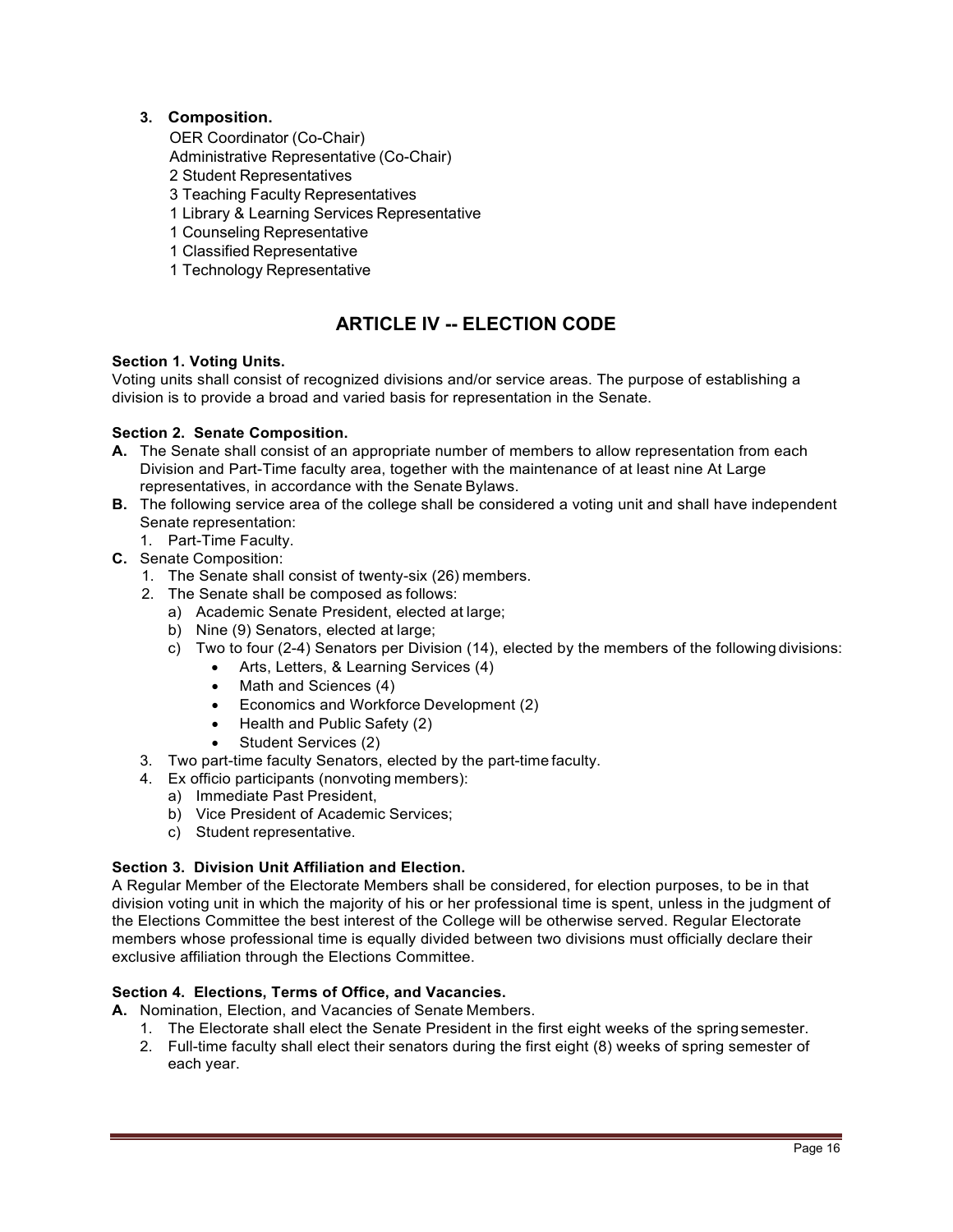# **3. Composition.**

OER Coordinator (Co-Chair)

Administrative Representative (Co-Chair)

- 2 Student Representatives
- 3 Teaching Faculty Representatives
- 1 Library & Learning Services Representative
- 1 Counseling Representative
- 1 Classified Representative
- 1 Technology Representative

# **ARTICLE IV -- ELECTION CODE**

## **Section 1. Voting Units.**

Voting units shall consist of recognized divisions and/or service areas. The purpose of establishing a division is to provide a broad and varied basis for representation in the Senate.

## **Section 2. Senate Composition.**

- **A.** The Senate shall consist of an appropriate number of members to allow representation from each Division and Part-Time faculty area, together with the maintenance of at least nine At Large representatives, in accordance with the Senate Bylaws.
- **B.** The following service area of the college shall be considered a voting unit and shall have independent Senate representation:
	- 1. Part-Time Faculty.
- **C.** Senate Composition:
	- 1. The Senate shall consist of twenty-six (26) members.
	- 2. The Senate shall be composed as follows:
		- a) Academic Senate President, elected at large;
		- b) Nine (9) Senators, elected at large;
		- c) Two to four (2-4) Senators per Division (14), elected by the members of the following divisions:
			- Arts, Letters, & Learning Services (4)
			- Math and Sciences (4)
			- Economics and Workforce Development (2)
			- Health and Public Safety (2)
				- Student Services (2)
	- 3. Two part-time faculty Senators, elected by the part-time faculty.
	- 4. Ex officio participants (nonvoting members):
		- a) Immediate Past President,
		- b) Vice President of Academic Services;
		- c) Student representative.

#### **Section 3. Division Unit Affiliation and Election.**

A Regular Member of the Electorate Members shall be considered, for election purposes, to be in that division voting unit in which the majority of his or her professional time is spent, unless in the judgment of the Elections Committee the best interest of the College will be otherwise served. Regular Electorate members whose professional time is equally divided between two divisions must officially declare their exclusive affiliation through the Elections Committee.

### **Section 4. Elections, Terms of Office, and Vacancies.**

- **A.** Nomination, Election, and Vacancies of Senate Members.
	- 1. The Electorate shall elect the Senate President in the first eight weeks of the springsemester.
	- 2. Full-time faculty shall elect their senators during the first eight (8) weeks of spring semester of each year.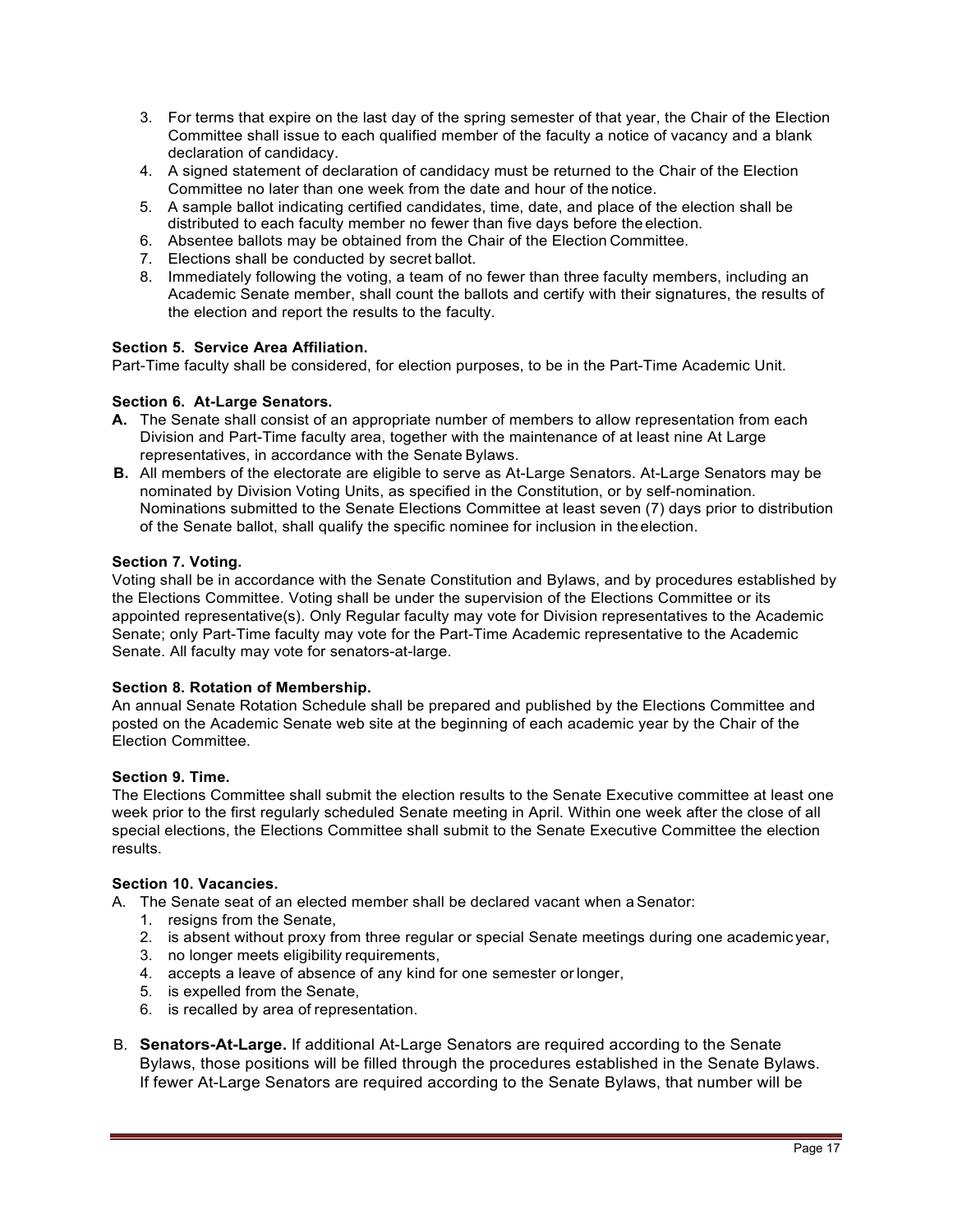- 3. For terms that expire on the last day of the spring semester of that year, the Chair of the Election Committee shall issue to each qualified member of the faculty a notice of vacancy and a blank declaration of candidacy.
- 4. A signed statement of declaration of candidacy must be returned to the Chair of the Election Committee no later than one week from the date and hour of the notice.
- 5. A sample ballot indicating certified candidates, time, date, and place of the election shall be distributed to each faculty member no fewer than five days before the election.
- 6. Absentee ballots may be obtained from the Chair of the Election Committee.
- 7. Elections shall be conducted by secret ballot.
- 8. Immediately following the voting, a team of no fewer than three faculty members, including an Academic Senate member, shall count the ballots and certify with their signatures, the results of the election and report the results to the faculty.

## **Section 5. Service Area Affiliation.**

Part-Time faculty shall be considered, for election purposes, to be in the Part-Time Academic Unit.

#### **Section 6. At-Large Senators.**

- **A.** The Senate shall consist of an appropriate number of members to allow representation from each Division and Part-Time faculty area, together with the maintenance of at least nine At Large representatives, in accordance with the Senate Bylaws.
- **B.** All members of the electorate are eligible to serve as At-Large Senators. At-Large Senators may be nominated by Division Voting Units, as specified in the Constitution, or by self-nomination. Nominations submitted to the Senate Elections Committee at least seven (7) days prior to distribution of the Senate ballot, shall qualify the specific nominee for inclusion in theelection.

#### **Section 7. Voting.**

Voting shall be in accordance with the Senate Constitution and Bylaws, and by procedures established by the Elections Committee. Voting shall be under the supervision of the Elections Committee or its appointed representative(s). Only Regular faculty may vote for Division representatives to the Academic Senate; only Part-Time faculty may vote for the Part-Time Academic representative to the Academic Senate. All faculty may vote for senators-at-large.

### **Section 8. Rotation of Membership.**

An annual Senate Rotation Schedule shall be prepared and published by the Elections Committee and posted on the Academic Senate web site at the beginning of each academic year by the Chair of the Election Committee.

#### **Section 9. Time.**

The Elections Committee shall submit the election results to the Senate Executive committee at least one week prior to the first regularly scheduled Senate meeting in April. Within one week after the close of all special elections, the Elections Committee shall submit to the Senate Executive Committee the election results.

#### **Section 10. Vacancies.**

A. The Senate seat of an elected member shall be declared vacant when a Senator:

- 1. resigns from the Senate,
- 2. is absent without proxy from three regular or special Senate meetings during one academic year,
- 3. no longer meets eligibility requirements,
- 4. accepts a leave of absence of any kind for one semester orlonger,
- 5. is expelled from the Senate,
- 6. is recalled by area of representation.
- B. **Senators-At-Large.** If additional At-Large Senators are required according to the Senate Bylaws, those positions will be filled through the procedures established in the Senate Bylaws. If fewer At-Large Senators are required according to the Senate Bylaws, that number will be